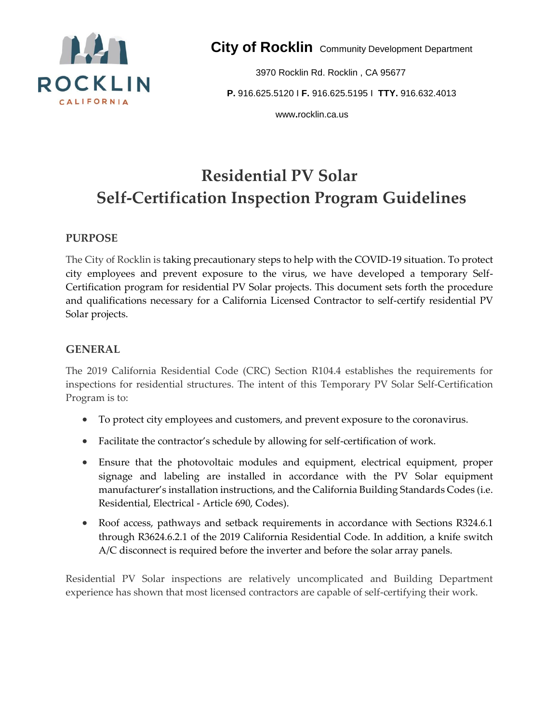

**City of Rocklin** Community Development Department

3970 Rocklin Rd. Rocklin , CA 95677 **P.** 916.625.5120 I **F.** 916.625.5195 I **TTY.** 916.632.4013 www**.**rocklin.ca.us

# **Residential PV Solar Self-Certification Inspection Program Guidelines**

#### **PURPOSE**

The City of Rocklin is taking precautionary steps to help with the COVID-19 situation. To protect city employees and prevent exposure to the virus, we have developed a temporary Self-Certification program for residential PV Solar projects. This document sets forth the procedure and qualifications necessary for a California Licensed Contractor to self-certify residential PV Solar projects.

#### **GENERAL**

The 2019 California Residential Code (CRC) Section R104.4 establishes the requirements for inspections for residential structures. The intent of this Temporary PV Solar Self-Certification Program is to:

- To protect city employees and customers, and prevent exposure to the coronavirus.
- Facilitate the contractor's schedule by allowing for self-certification of work.
- Ensure that the photovoltaic modules and equipment, electrical equipment, proper signage and labeling are installed in accordance with the PV Solar equipment manufacturer's installation instructions, and the California Building Standards Codes (i.e. Residential, Electrical - Article 690, Codes).
- Roof access, pathways and setback requirements in accordance with Sections R324.6.1 through R3624.6.2.1 of the 2019 California Residential Code. In addition, a knife switch A/C disconnect is required before the inverter and before the solar array panels.

Residential PV Solar inspections are relatively uncomplicated and Building Department experience has shown that most licensed contractors are capable of self-certifying their work.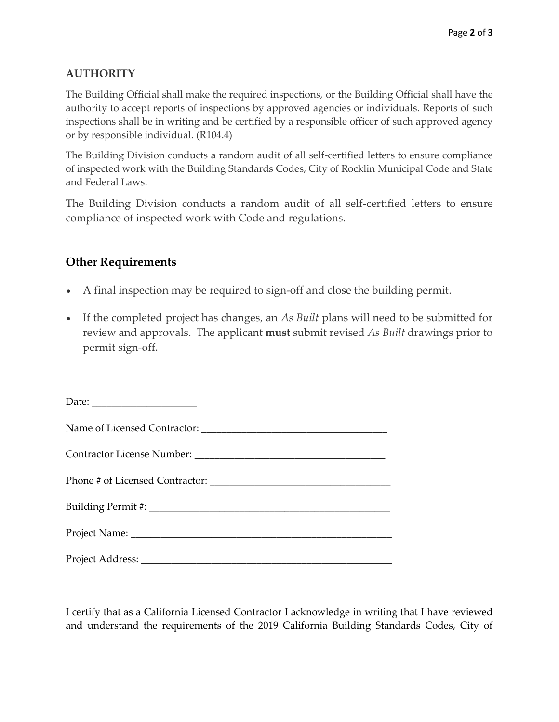### **AUTHORITY**

The Building Official shall make the required inspections, or the Building Official shall have the authority to accept reports of inspections by approved agencies or individuals. Reports of such inspections shall be in writing and be certified by a responsible officer of such approved agency or by responsible individual. (R104.4)

The Building Division conducts a random audit of all self-certified letters to ensure compliance of inspected work with the Building Standards Codes, City of Rocklin Municipal Code and State and Federal Laws.

The Building Division conducts a random audit of all self-certified letters to ensure compliance of inspected work with Code and regulations.

## **Other Requirements**

- A final inspection may be required to sign-off and close the building permit.
- If the completed project has changes, an *As Built* plans will need to be submitted for review and approvals. The applicant **must** submit revised *As Built* drawings prior to permit sign-off.

I certify that as a California Licensed Contractor I acknowledge in writing that I have reviewed and understand the requirements of the 2019 California Building Standards Codes, City of